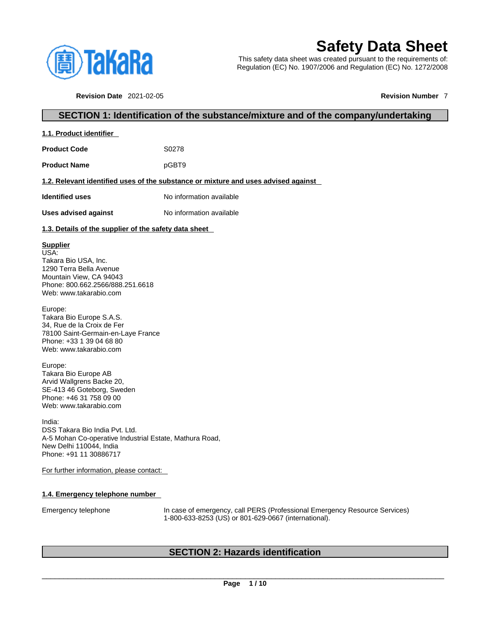

**1.1. Product identifier** 

# **Safety Data Sheet**

This safety data sheet was created pursuant to the requirements of: Regulation (EC) No. 1907/2006 and Regulation (EC) No. 1272/2008

**Revision Date** 2021-02-05 **Revision Number** 7

# **SECTION 1: Identification of the substance/mixture and of the company/undertaking**

| <b>Product Code</b>                                                                                                                                                 | S0278                                                                                                                              |  |  |  |  |  |
|---------------------------------------------------------------------------------------------------------------------------------------------------------------------|------------------------------------------------------------------------------------------------------------------------------------|--|--|--|--|--|
| pGBT9<br><b>Product Name</b>                                                                                                                                        |                                                                                                                                    |  |  |  |  |  |
|                                                                                                                                                                     | 1.2. Relevant identified uses of the substance or mixture and uses advised against                                                 |  |  |  |  |  |
| <b>Identified uses</b>                                                                                                                                              | No information available                                                                                                           |  |  |  |  |  |
| <b>Uses advised against</b>                                                                                                                                         | No information available                                                                                                           |  |  |  |  |  |
| 1.3. Details of the supplier of the safety data sheet                                                                                                               |                                                                                                                                    |  |  |  |  |  |
| <b>Supplier</b><br>USA:<br>Takara Bio USA, Inc.<br>1290 Terra Bella Avenue<br>Mountain View, CA 94043<br>Phone: 800.662.2566/888.251.6618<br>Web: www.takarabio.com |                                                                                                                                    |  |  |  |  |  |
| Europe:<br>Takara Bio Europe S.A.S.<br>34, Rue de la Croix de Fer<br>78100 Saint-Germain-en-Laye France<br>Phone: +33 1 39 04 68 80<br>Web: www.takarabio.com       |                                                                                                                                    |  |  |  |  |  |
| Europe:<br>Takara Bio Europe AB<br>Arvid Wallgrens Backe 20,<br>SE-413 46 Goteborg, Sweden<br>Phone: +46 31 758 09 00<br>Web: www.takarabio.com                     |                                                                                                                                    |  |  |  |  |  |
| India:<br>DSS Takara Bio India Pvt. Ltd.<br>A-5 Mohan Co-operative Industrial Estate, Mathura Road,<br>New Delhi 110044, India<br>Phone: +91 11 30886717            |                                                                                                                                    |  |  |  |  |  |
| For further information, please contact:                                                                                                                            |                                                                                                                                    |  |  |  |  |  |
| 1.4. Emergency telephone number                                                                                                                                     |                                                                                                                                    |  |  |  |  |  |
| Emergency telephone                                                                                                                                                 | In case of emergency, call PERS (Professional Emergency Resource Services)<br>1-800-633-8253 (US) or 801-629-0667 (international). |  |  |  |  |  |
|                                                                                                                                                                     |                                                                                                                                    |  |  |  |  |  |
|                                                                                                                                                                     | <b>SECTION 2: Hazards identification</b>                                                                                           |  |  |  |  |  |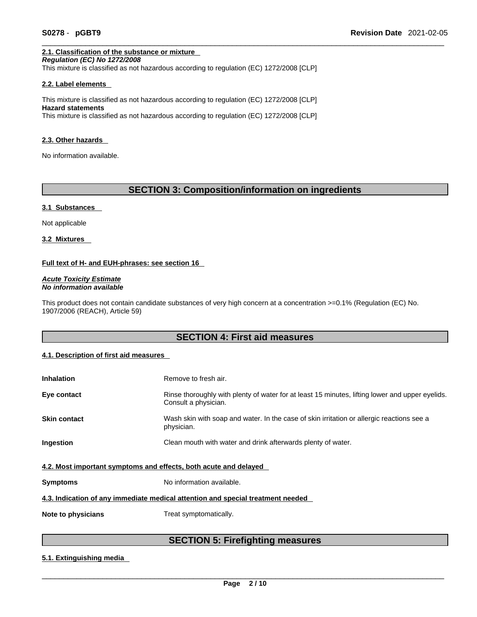## **2.1. Classification of the substance or mixture**

*Regulation (EC) No 1272/2008*  This mixture is classified as not hazardous according to regulation (EC) 1272/2008 [CLP]

#### **2.2. Label elements**

This mixture is classified as not hazardous according to regulation (EC) 1272/2008 [CLP] **Hazard statements** This mixture is classified as not hazardous according to regulation (EC) 1272/2008 [CLP]

#### **2.3. Other hazards**

No information available.

# **SECTION 3: Composition/information on ingredients**

#### **3.1 Substances**

Not applicable

**3.2 Mixtures** 

#### **Full text of H- and EUH-phrases: see section 16**

*Acute Toxicity Estimate No information available* 

This product does not contain candidate substances of very high concern at a concentration >=0.1% (Regulation (EC) No. 1907/2006 (REACH), Article 59)

# **SECTION 4: First aid measures**

#### **4.1. Description of first aid measures**

| <b>Inhalation</b>                                                | Remove to fresh air.                                                                                                    |  |  |  |
|------------------------------------------------------------------|-------------------------------------------------------------------------------------------------------------------------|--|--|--|
| Eye contact                                                      | Rinse thoroughly with plenty of water for at least 15 minutes, lifting lower and upper eyelids.<br>Consult a physician. |  |  |  |
| <b>Skin contact</b>                                              | Wash skin with soap and water. In the case of skin irritation or allergic reactions see a<br>physician.                 |  |  |  |
| Ingestion                                                        | Clean mouth with water and drink afterwards plenty of water.                                                            |  |  |  |
| 4.2. Most important symptoms and effects, both acute and delayed |                                                                                                                         |  |  |  |
| <b>Symptoms</b>                                                  | No information available.                                                                                               |  |  |  |
|                                                                  | 4.3. Indication of any immediate medical attention and special treatment needed                                         |  |  |  |
| Note to physicians                                               | Treat symptomatically.                                                                                                  |  |  |  |

# **SECTION 5: Firefighting measures**

#### **5.1. Extinguishing media**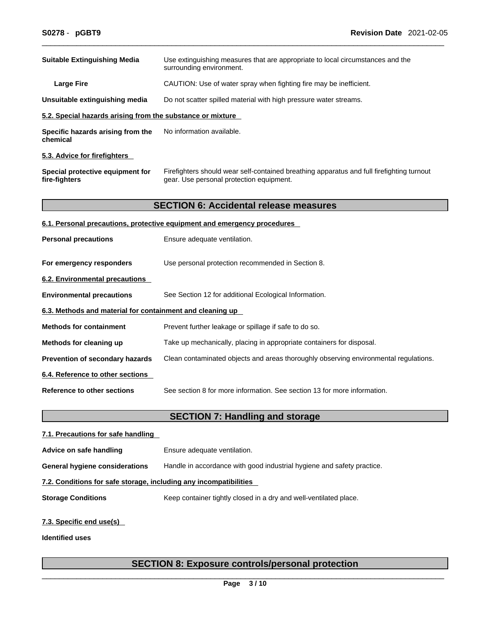| <b>Suitable Extinguishing Media</b><br>Use extinguishing measures that are appropriate to local circumstances and the<br>surrounding environment.<br>CAUTION: Use of water spray when fighting fire may be inefficient.<br><b>Large Fire</b><br>Do not scatter spilled material with high pressure water streams.<br>Unsuitable extinguishing media<br>5.2. Special hazards arising from the substance or mixture<br>No information available.<br>Specific hazards arising from the<br>chemical<br>5.3. Advice for firefighters<br>Firefighters should wear self-contained breathing apparatus and full firefighting turnout<br>Special protective equipment for<br>fire-fighters<br>gear. Use personal protection equipment.<br><b>SECTION 6: Accidental release measures</b><br>6.1. Personal precautions, protective equipment and emergency procedures<br>Ensure adequate ventilation.<br><b>Personal precautions</b> |  |
|---------------------------------------------------------------------------------------------------------------------------------------------------------------------------------------------------------------------------------------------------------------------------------------------------------------------------------------------------------------------------------------------------------------------------------------------------------------------------------------------------------------------------------------------------------------------------------------------------------------------------------------------------------------------------------------------------------------------------------------------------------------------------------------------------------------------------------------------------------------------------------------------------------------------------|--|
|                                                                                                                                                                                                                                                                                                                                                                                                                                                                                                                                                                                                                                                                                                                                                                                                                                                                                                                           |  |
|                                                                                                                                                                                                                                                                                                                                                                                                                                                                                                                                                                                                                                                                                                                                                                                                                                                                                                                           |  |
|                                                                                                                                                                                                                                                                                                                                                                                                                                                                                                                                                                                                                                                                                                                                                                                                                                                                                                                           |  |
|                                                                                                                                                                                                                                                                                                                                                                                                                                                                                                                                                                                                                                                                                                                                                                                                                                                                                                                           |  |
|                                                                                                                                                                                                                                                                                                                                                                                                                                                                                                                                                                                                                                                                                                                                                                                                                                                                                                                           |  |
|                                                                                                                                                                                                                                                                                                                                                                                                                                                                                                                                                                                                                                                                                                                                                                                                                                                                                                                           |  |
|                                                                                                                                                                                                                                                                                                                                                                                                                                                                                                                                                                                                                                                                                                                                                                                                                                                                                                                           |  |
|                                                                                                                                                                                                                                                                                                                                                                                                                                                                                                                                                                                                                                                                                                                                                                                                                                                                                                                           |  |
|                                                                                                                                                                                                                                                                                                                                                                                                                                                                                                                                                                                                                                                                                                                                                                                                                                                                                                                           |  |
|                                                                                                                                                                                                                                                                                                                                                                                                                                                                                                                                                                                                                                                                                                                                                                                                                                                                                                                           |  |
| Use personal protection recommended in Section 8.<br>For emergency responders                                                                                                                                                                                                                                                                                                                                                                                                                                                                                                                                                                                                                                                                                                                                                                                                                                             |  |
| 6.2. Environmental precautions                                                                                                                                                                                                                                                                                                                                                                                                                                                                                                                                                                                                                                                                                                                                                                                                                                                                                            |  |
| See Section 12 for additional Ecological Information.<br><b>Environmental precautions</b>                                                                                                                                                                                                                                                                                                                                                                                                                                                                                                                                                                                                                                                                                                                                                                                                                                 |  |
| 6.3. Methods and material for containment and cleaning up                                                                                                                                                                                                                                                                                                                                                                                                                                                                                                                                                                                                                                                                                                                                                                                                                                                                 |  |
| <b>Methods for containment</b><br>Prevent further leakage or spillage if safe to do so.                                                                                                                                                                                                                                                                                                                                                                                                                                                                                                                                                                                                                                                                                                                                                                                                                                   |  |
| Methods for cleaning up<br>Take up mechanically, placing in appropriate containers for disposal.                                                                                                                                                                                                                                                                                                                                                                                                                                                                                                                                                                                                                                                                                                                                                                                                                          |  |
| Prevention of secondary hazards<br>Clean contaminated objects and areas thoroughly observing environmental regulations.                                                                                                                                                                                                                                                                                                                                                                                                                                                                                                                                                                                                                                                                                                                                                                                                   |  |
| 6.4. Reference to other sections                                                                                                                                                                                                                                                                                                                                                                                                                                                                                                                                                                                                                                                                                                                                                                                                                                                                                          |  |
| See section 8 for more information. See section 13 for more information.<br><b>Reference to other sections</b>                                                                                                                                                                                                                                                                                                                                                                                                                                                                                                                                                                                                                                                                                                                                                                                                            |  |
| <b>SECTION 7: Handling and storage</b>                                                                                                                                                                                                                                                                                                                                                                                                                                                                                                                                                                                                                                                                                                                                                                                                                                                                                    |  |
| 7.1. Precautions for safe handling                                                                                                                                                                                                                                                                                                                                                                                                                                                                                                                                                                                                                                                                                                                                                                                                                                                                                        |  |

**Advice on safe handling** Ensure adequate ventilation. **General hygiene considerations** Handle in accordance with good industrial hygiene and safety practice. **7.2. Conditions for safe storage, including any incompatibilities Storage Conditions** Keep container tightly closed in a dry and well-ventilated place. **7.3. Specific end use(s)** 

**Identified uses**

# **SECTION 8: Exposure controls/personal protection**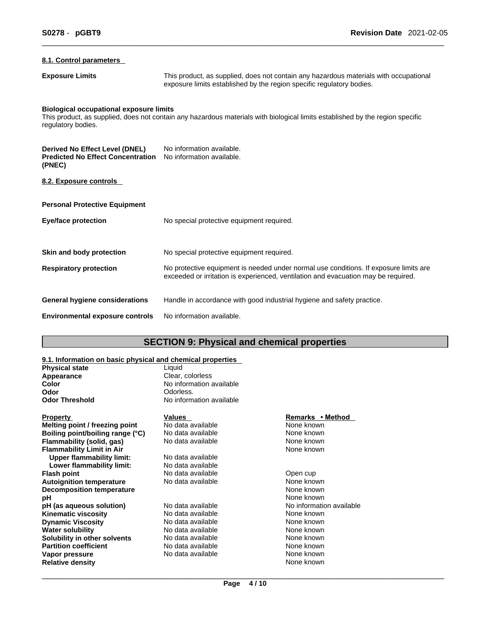| 8.1. Control parameters                                                                     |                                                                                                                                                                             |  |  |
|---------------------------------------------------------------------------------------------|-----------------------------------------------------------------------------------------------------------------------------------------------------------------------------|--|--|
| <b>Exposure Limits</b>                                                                      | This product, as supplied, does not contain any hazardous materials with occupational<br>exposure limits established by the region specific regulatory bodies.              |  |  |
| <b>Biological occupational exposure limits</b><br>regulatory bodies.                        | This product, as supplied, does not contain any hazardous materials with biological limits established by the region specific                                               |  |  |
| <b>Derived No Effect Level (DNEL)</b><br><b>Predicted No Effect Concentration</b><br>(PNEC) | No information available.<br>No information available.                                                                                                                      |  |  |
| 8.2. Exposure controls                                                                      |                                                                                                                                                                             |  |  |
| <b>Personal Protective Equipment</b>                                                        |                                                                                                                                                                             |  |  |
| <b>Eye/face protection</b>                                                                  | No special protective equipment required.                                                                                                                                   |  |  |
| Skin and body protection                                                                    | No special protective equipment required.                                                                                                                                   |  |  |
| <b>Respiratory protection</b>                                                               | No protective equipment is needed under normal use conditions. If exposure limits are<br>exceeded or irritation is experienced, ventilation and evacuation may be required. |  |  |
| <b>General hygiene considerations</b>                                                       | Handle in accordance with good industrial hygiene and safety practice.                                                                                                      |  |  |
| <b>Environmental exposure controls</b>                                                      | No information available.                                                                                                                                                   |  |  |

# **SECTION 9: Physical and chemical properties**

# **9.1. Information on basic physical and chemical properties**

| <b>Physical state</b>            | Liquid                   |                          |  |
|----------------------------------|--------------------------|--------------------------|--|
| Appearance                       | Clear, colorless         |                          |  |
| Color                            | No information available |                          |  |
| Odor                             | Odorless.                |                          |  |
| <b>Odor Threshold</b>            | No information available |                          |  |
| <b>Property</b>                  | <b>Values</b>            | Remarks • Method         |  |
| Melting point / freezing point   | No data available        | None known               |  |
| Boiling point/boiling range (°C) | No data available        | None known               |  |
| Flammability (solid, gas)        | No data available        | None known               |  |
| <b>Flammability Limit in Air</b> |                          | None known               |  |
| <b>Upper flammability limit:</b> | No data available        |                          |  |
| Lower flammability limit:        | No data available        |                          |  |
| <b>Flash point</b>               | No data available        | Open cup                 |  |
| <b>Autoignition temperature</b>  | No data available        | None known               |  |
| <b>Decomposition temperature</b> |                          | None known               |  |
| pН                               |                          | None known               |  |
| pH (as aqueous solution)         | No data available        | No information available |  |
| <b>Kinematic viscosity</b>       | No data available        | None known               |  |
| <b>Dynamic Viscosity</b>         | No data available        | None known               |  |
| <b>Water solubility</b>          | No data available        | None known               |  |
| Solubility in other solvents     | No data available        | None known               |  |
| <b>Partition coefficient</b>     | No data available        | None known               |  |
| Vapor pressure                   | No data available        | None known               |  |
| <b>Relative density</b>          |                          | None known               |  |
|                                  |                          |                          |  |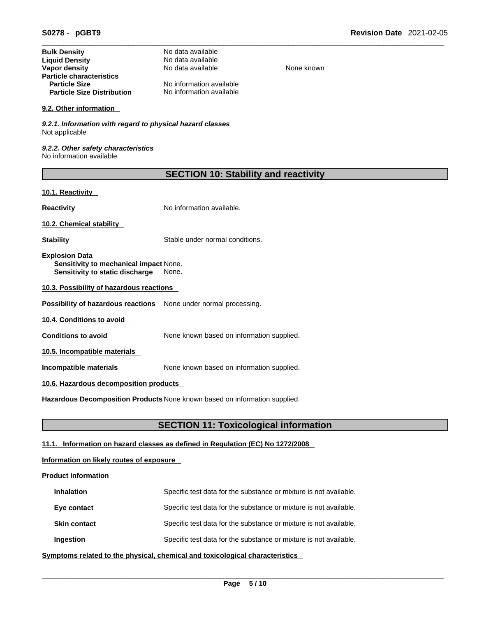| <b>Bulk Density</b>               | No data available        |            |
|-----------------------------------|--------------------------|------------|
| <b>Liquid Density</b>             | No data available        |            |
| Vapor density                     | No data available        | None known |
| <b>Particle characteristics</b>   |                          |            |
| <b>Particle Size</b>              | No information available |            |
| <b>Particle Size Distribution</b> | No information available |            |

#### **9.2. Other information**

*9.2.1. Information with regard to physical hazard classes* Not applicable

*9.2.2. Other safety characteristics* No information available

| <b>SECTION 10: Stability and reactivity</b> |  |
|---------------------------------------------|--|

### **10.1. Reactivity**

**Reactivity No information available.** 

**10.2. Chemical stability** 

**Stability** Stable under normal conditions.

**Explosion Data Sensitivity to mechanical impact** None. **Sensitivity to static discharge** None.

**10.3. Possibility of hazardous reactions**

**Possibility of hazardous reactions** None under normal processing.

**10.4. Conditions to avoid** 

**Conditions to avoid** None known based on information supplied.

**10.5. Incompatible materials**

**Incompatible materials** None known based on information supplied.

#### **10.6. Hazardous decomposition products**

**Hazardous Decomposition Products** None known based on information supplied.

# **SECTION 11: Toxicological information**

# **11.1. Information on hazard classes as defined in Regulation (EC) No 1272/2008**

# **Information on likely routes of exposure**

### **Product Information**

| <b>Inhalation</b>   | Specific test data for the substance or mixture is not available. |
|---------------------|-------------------------------------------------------------------|
| Eye contact         | Specific test data for the substance or mixture is not available. |
| <b>Skin contact</b> | Specific test data for the substance or mixture is not available. |
| Ingestion           | Specific test data for the substance or mixture is not available. |

**<u>Symptoms related to the physical, chemical and toxicological characteristics</u>**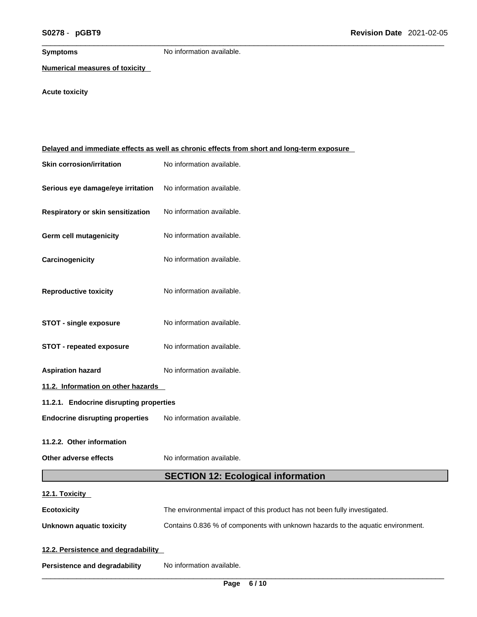**Symptoms** No information available.

**Numerical measures of toxicity**

# **Acute toxicity**

| Delayed and immediate effects as well as chronic effects from short and long-term exposure |                                                                                 |  |  |  |
|--------------------------------------------------------------------------------------------|---------------------------------------------------------------------------------|--|--|--|
| <b>Skin corrosion/irritation</b>                                                           | No information available.                                                       |  |  |  |
| Serious eye damage/eye irritation                                                          | No information available.                                                       |  |  |  |
| Respiratory or skin sensitization                                                          | No information available.                                                       |  |  |  |
| Germ cell mutagenicity                                                                     | No information available.                                                       |  |  |  |
| Carcinogenicity                                                                            | No information available.                                                       |  |  |  |
| <b>Reproductive toxicity</b>                                                               | No information available.                                                       |  |  |  |
| <b>STOT - single exposure</b>                                                              | No information available.                                                       |  |  |  |
| <b>STOT - repeated exposure</b>                                                            | No information available.                                                       |  |  |  |
| <b>Aspiration hazard</b>                                                                   | No information available.                                                       |  |  |  |
| 11.2. Information on other hazards                                                         |                                                                                 |  |  |  |
| 11.2.1. Endocrine disrupting properties                                                    |                                                                                 |  |  |  |
| <b>Endocrine disrupting properties</b>                                                     | No information available.                                                       |  |  |  |
| 11.2.2. Other information                                                                  |                                                                                 |  |  |  |
| Other adverse effects                                                                      | No information available.                                                       |  |  |  |
|                                                                                            | <b>SECTION 12: Ecological information</b>                                       |  |  |  |
| 12.1. Toxicity                                                                             |                                                                                 |  |  |  |
| <b>Ecotoxicity</b>                                                                         | The environmental impact of this product has not been fully investigated.       |  |  |  |
| <b>Unknown aquatic toxicity</b>                                                            | Contains 0.836 % of components with unknown hazards to the aquatic environment. |  |  |  |
| 12.2. Persistence and degradability                                                        |                                                                                 |  |  |  |
| <b>Persistence and degradability</b>                                                       | No information available.                                                       |  |  |  |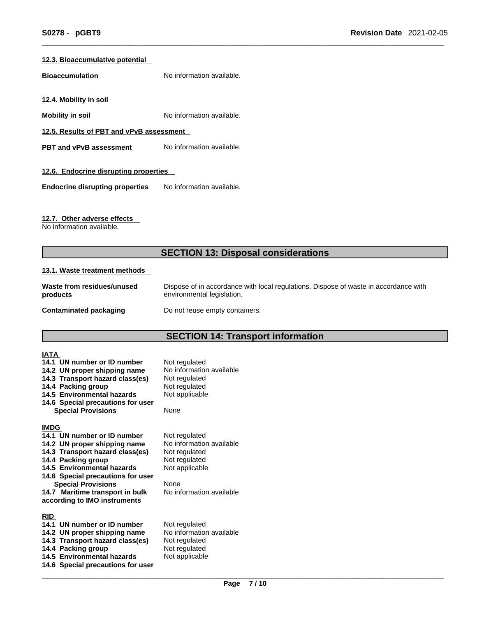#### **12.3. Bioaccumulative potential**

**Bioaccumulation** No information available.

**12.4. Mobility in soil** 

**Mobility in soil** No information available.

**12.5. Results of PBT and vPvB assessment**

**PBT** and **vPvB** assessment No information available.

#### **12.6. Endocrine disrupting properties**

**Endocrine disrupting properties** No information available.

### **12.7. Other adverse effects**

No information available.

# **SECTION 13: Disposal considerations**

#### **13.1. Waste treatment methods**

| Waste from residues/unused | Dispose of in accordance with local regulations. Dispose of waste in accordance with |  |
|----------------------------|--------------------------------------------------------------------------------------|--|
| products                   | environmental legislation.                                                           |  |
| Contaminated packaging     | Do not reuse empty containers.                                                       |  |

# **SECTION 14: Transport information**

| IATA        |                                                             |                                           |
|-------------|-------------------------------------------------------------|-------------------------------------------|
|             | 14.1 UN number or ID number<br>14.2 UN proper shipping name | Not regulated<br>No information available |
|             | 14.3 Transport hazard class(es)                             | Not regulated                             |
|             | 14.4 Packing group                                          | Not regulated                             |
|             | 14.5 Environmental hazards                                  | Not applicable                            |
|             | 14.6 Special precautions for user                           |                                           |
|             | <b>Special Provisions</b>                                   | None                                      |
| <b>IMDG</b> |                                                             |                                           |
|             | 14.1 UN number or ID number                                 | Not regulated                             |
|             | 14.2 UN proper shipping name                                | No information available                  |
|             | 14.3 Transport hazard class(es)                             | Not regulated                             |
|             | 14.4 Packing group                                          | Not regulated                             |
|             | 14.5 Environmental hazards                                  | Not applicable                            |
|             | 14.6 Special precautions for user                           |                                           |
|             | <b>Special Provisions</b>                                   | None                                      |
|             | 14.7 Maritime transport in bulk                             | No information available                  |
|             | according to IMO instruments                                |                                           |
| <b>RID</b>  |                                                             |                                           |
|             | 14.1 UN number or ID number                                 | Not regulated                             |
|             | 14.2 UN proper shipping name                                | No information available                  |
|             | 14.3 Transport hazard class(es)                             | Not regulated                             |
|             | 14.4 Packing group                                          | Not regulated                             |
|             | 14.5 Environmental hazards                                  | Not applicable                            |
|             | 14.6 Special precautions for user                           |                                           |
|             |                                                             |                                           |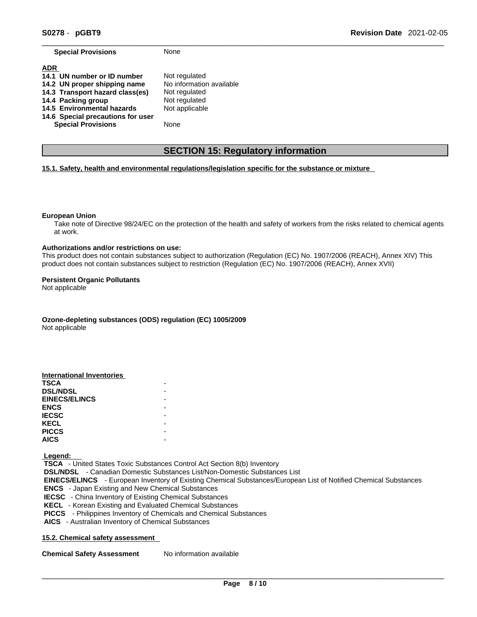**Special Provisions** None

|  |  | None |
|--|--|------|
|  |  |      |

| <b>ADR</b>                        |                          |
|-----------------------------------|--------------------------|
| 14.1 UN number or ID number       | Not regulated            |
| 14.2 UN proper shipping name      | No information available |
| 14.3 Transport hazard class(es)   | Not regulated            |
| 14.4 Packing group                | Not regulated            |
| 14.5 Environmental hazards        | Not applicable           |
| 14.6 Special precautions for user |                          |
| <b>Special Provisions</b>         | None                     |

# **SECTION 15: Regulatory information**

#### **15.1. Safety, health and environmental regulations/legislation specific for the substance or mixture**

#### **European Union**

Take note of Directive 98/24/EC on the protection of the health and safety of workers from the risks related to chemical agents at work.

#### **Authorizations and/or restrictions on use:**

This product does not contain substances subject to authorization (Regulation (EC) No. 1907/2006 (REACH), Annex XIV) This product does not contain substances subject to restriction (Regulation (EC) No. 1907/2006 (REACH), Annex XVII)

#### **Persistent Organic Pollutants**

Not applicable

**Ozone-depleting substances (ODS) regulation (EC) 1005/2009**

Not applicable

| <b>International Inventories</b> |  |
|----------------------------------|--|
| <b>TSCA</b>                      |  |
| <b>DSL/NDSL</b>                  |  |
| <b>EINECS/ELINCS</b>             |  |
| <b>ENCS</b>                      |  |
| <b>IECSC</b>                     |  |
| <b>KECL</b>                      |  |
| <b>PICCS</b>                     |  |
| <b>AICS</b>                      |  |

 **Legend:** 

 **TSCA** - United States Toxic Substances Control Act Section 8(b) Inventory  **DSL/NDSL** - Canadian Domestic Substances List/Non-Domestic Substances List  **EINECS/ELINCS** - European Inventory of Existing Chemical Substances/European List of Notified Chemical Substances  **ENCS** - Japan Existing and New Chemical Substances  **IECSC** - China Inventory of Existing Chemical Substances  **KECL** - Korean Existing and Evaluated Chemical Substances  **PICCS** - Philippines Inventory of Chemicals and Chemical Substances  **AICS** - Australian Inventory of Chemical Substances

#### **15.2. Chemical safety assessment**

**Chemical Safety Assessment** No information available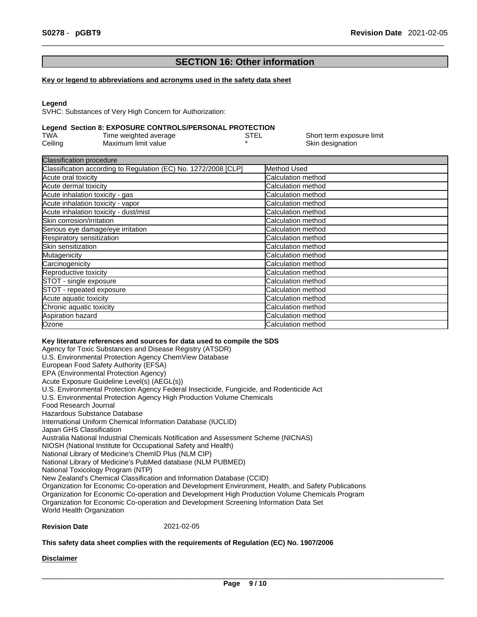# **SECTION 16: Other information**

#### **Key or legend to abbreviations and acronyms used in the safety data sheet**

#### **Legend**

SVHC: Substances of Very High Concern for Authorization:

#### **Legend Section 8: EXPOSURE CONTROLS/PERSONAL PROTECTION**

| TWA     | Time weighted average | STEL | Short term exposure limit |
|---------|-----------------------|------|---------------------------|
| Ceiling | Maximum limit value   |      | Skin designation          |

| <b>Classification procedure</b>                                 |                           |
|-----------------------------------------------------------------|---------------------------|
| Classification according to Regulation (EC) No. 1272/2008 [CLP] | Method Used               |
| Acute oral toxicity                                             | Calculation method        |
| Acute dermal toxicity                                           | Calculation method        |
| Acute inhalation toxicity - gas                                 | Calculation method        |
| Acute inhalation toxicity - vapor                               | <b>Calculation method</b> |
| Acute inhalation toxicity - dust/mist                           | <b>Calculation method</b> |
| Skin corrosion/irritation                                       | <b>Calculation method</b> |
| Serious eye damage/eye irritation                               | Calculation method        |
| Respiratory sensitization                                       | Calculation method        |
| <b>ISkin sensitization</b>                                      | <b>Calculation method</b> |
| Mutagenicity                                                    | Calculation method        |
| Carcinogenicity                                                 | Calculation method        |
| Reproductive toxicity                                           | <b>Calculation method</b> |
| STOT - single exposure                                          | Calculation method        |
| STOT - repeated exposure                                        | Calculation method        |
| Acute aquatic toxicity                                          | Calculation method        |
| Chronic aquatic toxicity                                        | <b>Calculation method</b> |
| Aspiration hazard                                               | <b>Calculation method</b> |
| Ozone                                                           | Calculation method        |

#### **Key literature references and sources for data used to compile the SDS**

Agency for Toxic Substances and Disease Registry (ATSDR) U.S. Environmental Protection Agency ChemView Database European Food Safety Authority (EFSA) EPA (Environmental Protection Agency) Acute Exposure Guideline Level(s) (AEGL(s)) U.S. Environmental Protection Agency Federal Insecticide, Fungicide, and Rodenticide Act U.S. Environmental Protection Agency High Production Volume Chemicals Food Research Journal Hazardous Substance Database International Uniform Chemical Information Database (IUCLID) Japan GHS Classification Australia National Industrial Chemicals Notification and Assessment Scheme (NICNAS) NIOSH (National Institute for Occupational Safety and Health) National Library of Medicine's ChemID Plus (NLM CIP) National Library of Medicine's PubMed database (NLM PUBMED) National Toxicology Program (NTP) New Zealand's Chemical Classification and Information Database (CCID) Organization for Economic Co-operation and Development Environment, Health, and Safety Publications Organization for Economic Co-operation and Development High Production Volume Chemicals Program Organization for Economic Co-operation and Development Screening Information Data Set World Health Organization

#### **Revision Date** 2021-02-05

#### **This safety data sheet complies with the requirements of Regulation (EC) No. 1907/2006**

**Disclaimer**